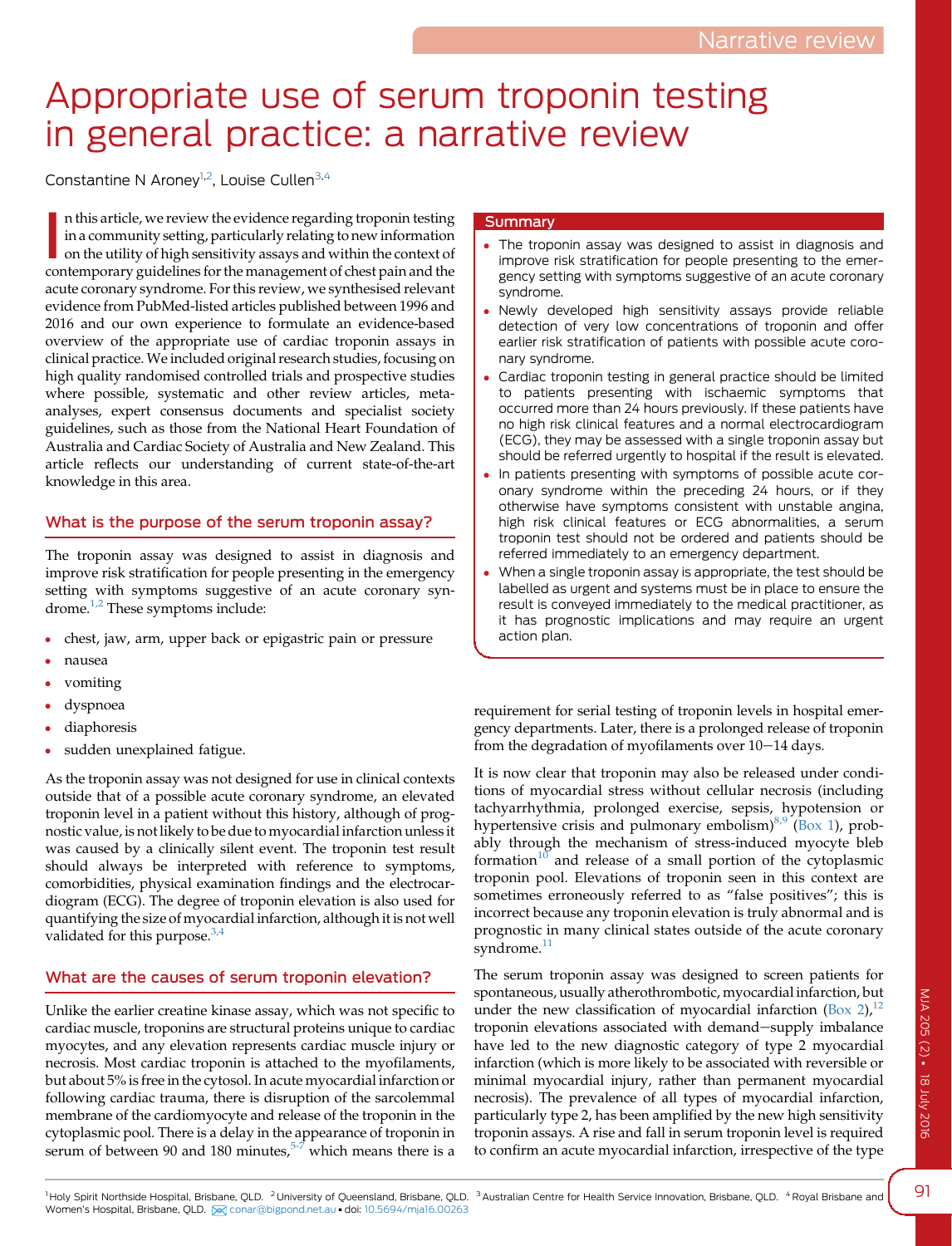# Appropriate use of serum troponin testing in general practice: a narrative review

Constantine N Aroney<sup>1,2</sup>, Louise Cullen<sup>3,4</sup>

In this article, we review the evidence regarding troponin testing in a community setting, particularly relating to new information on the utility of high sensitivity assays and within the context of contemporary guideline n this article, we review the evidence regarding troponin testing in a community setting, particularly relating to new information on the utility of high sensitivity assays and within the context of acute coronary syndrome. For this review, we synthesised relevant evidence from PubMed-listed articles published between 1996 and 2016 and our own experience to formulate an evidence-based overview of the appropriate use of cardiac troponin assays in clinical practice.We included original research studies, focusing on high quality randomised controlled trials and prospective studies where possible, systematic and other review articles, metaanalyses, expert consensus documents and specialist society guidelines, such as those from the National Heart Foundation of Australia and Cardiac Society of Australia and New Zealand. This article reflects our understanding of current state-of-the-art knowledge in this area.

## What is the purpose of the serum troponin assay?

The troponin assay was designed to assist in diagnosis and improve risk stratification for people presenting in the emergency setting with symptoms suggestive of an acute coronary syndrome.[1,2](#page-3-0) These symptoms include:

- chest, jaw, arm, upper back or epigastric pain or pressure
- nausea
- vomiting
- dyspnoea
- diaphoresis
- sudden unexplained fatigue.

As the troponin assay was not designed for use in clinical contexts outside that of a possible acute coronary syndrome, an elevated troponin level in a patient without this history, although of prognostic value, is not likely to be due to myocardial infarction unless it was caused by a clinically silent event. The troponin test result should always be interpreted with reference to symptoms, comorbidities, physical examination findings and the electrocardiogram (ECG). The degree of troponin elevation is also used for quantifying the size of myocardial infarction, although it is not well validated for this purpose. $3,4$ 

## What are the causes of serum troponin elevation?

Unlike the earlier creatine kinase assay, which was not specific to cardiac muscle, troponins are structural proteins unique to cardiac myocytes, and any elevation represents cardiac muscle injury or necrosis. Most cardiac troponin is attached to the myofilaments, but about 5% is free in the cytosol. In acute myocardial infarction or following cardiac trauma, there is disruption of the sarcolemmal membrane of the cardiomyocyte and release of the troponin in the cytoplasmic pool. There is a delay in the appearance of troponin in serum of between 90 and 180 minutes,<sup>[5-7](#page-3-0)</sup> which means there is a

## **Summary**

- The troponin assay was designed to assist in diagnosis and improve risk stratification for people presenting to the emergency setting with symptoms suggestive of an acute coronary syndrome.
- Newly developed high sensitivity assays provide reliable detection of very low concentrations of troponin and offer earlier risk stratification of patients with possible acute coronary syndrome.
- Cardiac troponin testing in general practice should be limited to patients presenting with ischaemic symptoms that occurred more than 24 hours previously. If these patients have no high risk clinical features and a normal electrocardiogram (ECG), they may be assessed with a single troponin assay but should be referred urgently to hospital if the result is elevated.
- In patients presenting with symptoms of possible acute coronary syndrome within the preceding 24 hours, or if they otherwise have symptoms consistent with unstable angina, high risk clinical features or ECG abnormalities, a serum troponin test should not be ordered and patients should be referred immediately to an emergency department.
- When a single troponin assay is appropriate, the test should be labelled as urgent and systems must be in place to ensure the result is conveyed immediately to the medical practitioner, as it has prognostic implications and may require an urgent action plan.

requirement for serial testing of troponin levels in hospital emergency departments. Later, there is a prolonged release of troponin from the degradation of myofilaments over  $10-14$  days.

It is now clear that troponin may also be released under conditions of myocardial stress without cellular necrosis (including tachyarrhythmia, prolonged exercise, sepsis, hypotension or hypertensive crisis and pulmonary embolism) $8.9$  [\(Box 1](#page-1-0)), probably through the mechanism of stress-induced myocyte bleb formation $10$  and release of a small portion of the cytoplasmic troponin pool. Elevations of troponin seen in this context are sometimes erroneously referred to as "false positives"; this is incorrect because any troponin elevation is truly abnormal and is prognostic in many clinical states outside of the acute coronary syndrome.<sup>[11](#page-3-0)</sup>

The serum troponin assay was designed to screen patients for spontaneous, usually atherothrombotic, myocardial infarction, but under the new classification of myocardial infarction  $(Box 2)<sup>12</sup>$  $(Box 2)<sup>12</sup>$  $(Box 2)<sup>12</sup>$  $(Box 2)<sup>12</sup>$  $(Box 2)<sup>12</sup>$ troponin elevations associated with demand-supply imbalance have led to the new diagnostic category of type 2 myocardial infarction (which is more likely to be associated with reversible or minimal myocardial injury, rather than permanent myocardial necrosis). The prevalence of all types of myocardial infarction, particularly type 2, has been amplified by the new high sensitivity troponin assays. A rise and fall in serum troponin level is required to confirm an acute myocardial infarction, irrespective of the type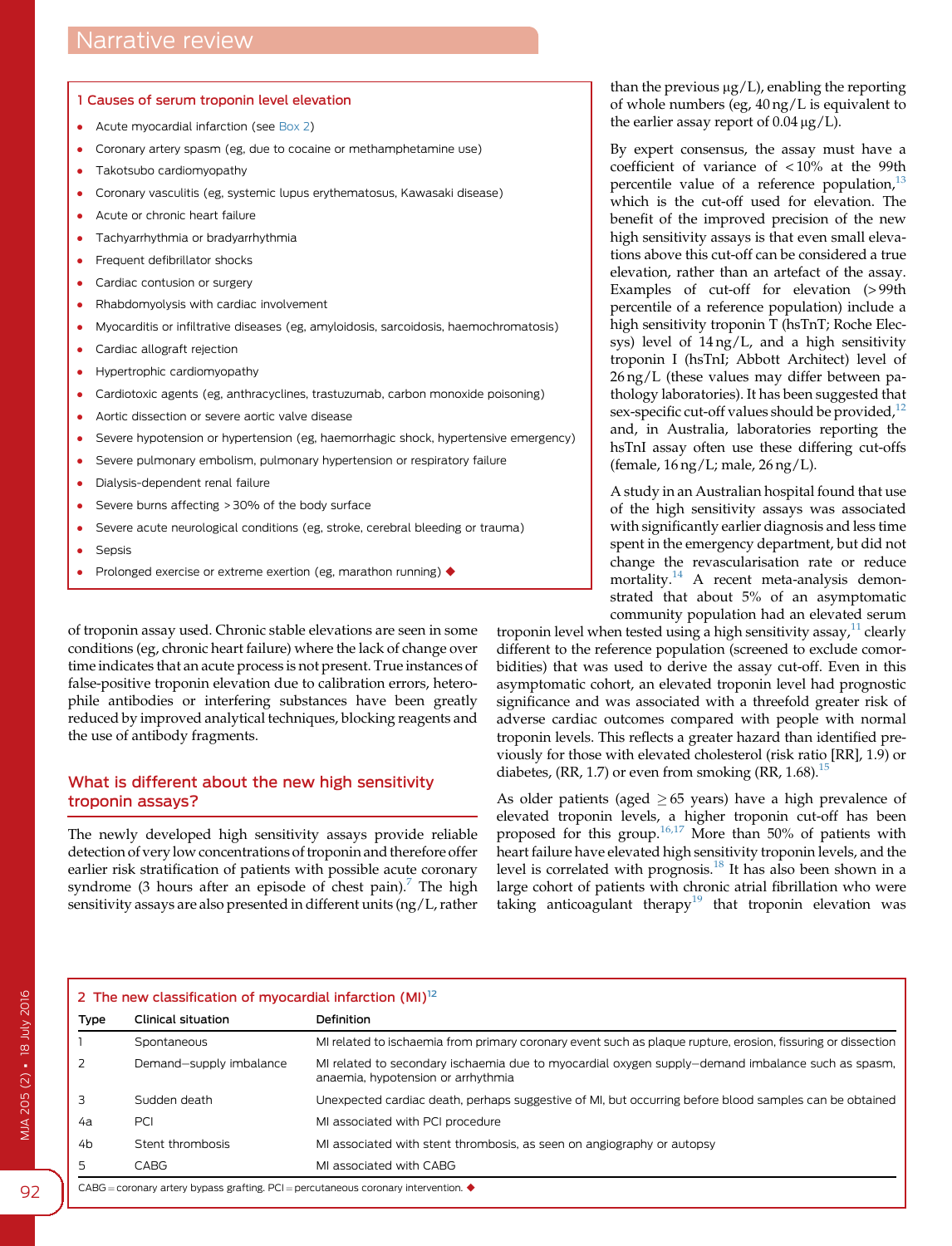#### <span id="page-1-0"></span>1 Causes of serum troponin level elevation

- Acute myocardial infarction (see Box 2)
- Coronary artery spasm (eg, due to cocaine or methamphetamine use)
- Takotsubo cardiomyopathy
- Coronary vasculitis (eg, systemic lupus erythematosus, Kawasaki disease)
- Acute or chronic heart failure
- Tachyarrhythmia or bradyarrhythmia
- Frequent defibrillator shocks
- Cardiac contusion or surgery
- Rhabdomyolysis with cardiac involvement
- Myocarditis or infiltrative diseases (eg, amyloidosis, sarcoidosis, haemochromatosis)
- Cardiac allograft rejection
- Hypertrophic cardiomyopathy
- Cardiotoxic agents (eg, anthracyclines, trastuzumab, carbon monoxide poisoning)
- Aortic dissection or severe aortic valve disease
- Severe hypotension or hypertension (eg, haemorrhagic shock, hypertensive emergency)
- Severe pulmonary embolism, pulmonary hypertension or respiratory failure
- Dialysis-dependent renal failure
- Severe burns affecting > 30% of the body surface
- Severe acute neurological conditions (eg, stroke, cerebral bleeding or trauma)
- **Sepsis**
- Prolonged exercise or extreme exertion (eg, marathon running)  $\blacklozenge$

of troponin assay used. Chronic stable elevations are seen in some conditions (eg, chronic heart failure) where the lack of change over time indicates that an acute process is not present. True instances of false-positive troponin elevation due to calibration errors, heterophile antibodies or interfering substances have been greatly reduced by improved analytical techniques, blocking reagents and the use of antibody fragments.

## What is different about the new high sensitivity troponin assays?

The newly developed high sensitivity assays provide reliable detection of very low concentrations of troponin and therefore offer earlier risk stratification of patients with possible acute coronary syndrome (3 hours after an episode of chest pain).<sup>7</sup> The high sensitivity assays are also presented in different units (ng/L, rather than the previous  $\mu$ g/L), enabling the reporting of whole numbers (eg, 40 ng/L is equivalent to the earlier assay report of  $0.04 \mu g/L$ .

By expert consensus, the assay must have a coefficient of variance of < 10% at the 99th percentile value of a reference population, $^{13}$  $^{13}$  $^{13}$ which is the cut-off used for elevation. The benefit of the improved precision of the new high sensitivity assays is that even small elevations above this cut-off can be considered a true elevation, rather than an artefact of the assay. Examples of cut-off for elevation (> 99th percentile of a reference population) include a high sensitivity troponin T (hsTnT; Roche Elecsys) level of 14 ng/L, and a high sensitivity troponin I (hsTnI; Abbott Architect) level of 26 ng/L (these values may differ between pathology laboratories). It has been suggested that sex-specific cut-off values should be provided, $12$ and, in Australia, laboratories reporting the hsTnI assay often use these differing cut-offs (female, 16 ng/L; male, 26 ng/L).

A study in an Australian hospital found that use of the high sensitivity assays was associated with significantly earlier diagnosis and less time spent in the emergency department, but did not change the revascularisation rate or reduce mortality.<sup>[14](#page-3-0)</sup> A recent meta-analysis demonstrated that about 5% of an asymptomatic community population had an elevated serum

troponin level when tested using a high sensitivity assay, $11$  clearly different to the reference population (screened to exclude comorbidities) that was used to derive the assay cut-off. Even in this asymptomatic cohort, an elevated troponin level had prognostic significance and was associated with a threefold greater risk of adverse cardiac outcomes compared with people with normal troponin levels. This reflects a greater hazard than identified previously for those with elevated cholesterol (risk ratio [RR], 1.9) or diabetes, (RR, 1.7) or even from smoking (RR, 1.68).<sup>1</sup>

As older patients (aged  $\geq 65$  years) have a high prevalence of elevated troponin levels, a higher troponin cut-off has been proposed for this group.[16,17](#page-3-0) More than 50% of patients with heart failure have elevated high sensitivity troponin levels, and the level is correlated with prognosis.[18](#page-3-0) It has also been shown in a large cohort of patients with chronic atrial fibrillation who were taking anticoagulant therapy<sup>[19](#page-3-0)</sup> that troponin elevation was

| 2 The new classification of myocardial infarction $(MI)^{12}$                                              |                         |                                                                                                                                         |
|------------------------------------------------------------------------------------------------------------|-------------------------|-----------------------------------------------------------------------------------------------------------------------------------------|
| Type                                                                                                       | Clinical situation      | Definition                                                                                                                              |
|                                                                                                            | Spontaneous             | MI related to ischaemia from primary coronary event such as plaque rupture, erosion, fissuring or dissection                            |
|                                                                                                            | Demand-supply imbalance | MI related to secondary ischaemia due to myocardial oxygen supply-demand imbalance such as spasm,<br>anaemia, hypotension or arrhythmia |
|                                                                                                            | Sudden death            | Unexpected cardiac death, perhaps suggestive of MI, but occurring before blood samples can be obtained                                  |
| 4а                                                                                                         | <b>PCI</b>              | MI associated with PCI procedure                                                                                                        |
| 4b                                                                                                         | Stent thrombosis        | MI associated with stent thrombosis, as seen on angiography or autopsy                                                                  |
| 5                                                                                                          | CABG                    | MI associated with CABG                                                                                                                 |
| $C\text{ABC}$ = coronary artery bypass grafting. PCI = percutaneous coronary intervention. $\blacklozenge$ |                         |                                                                                                                                         |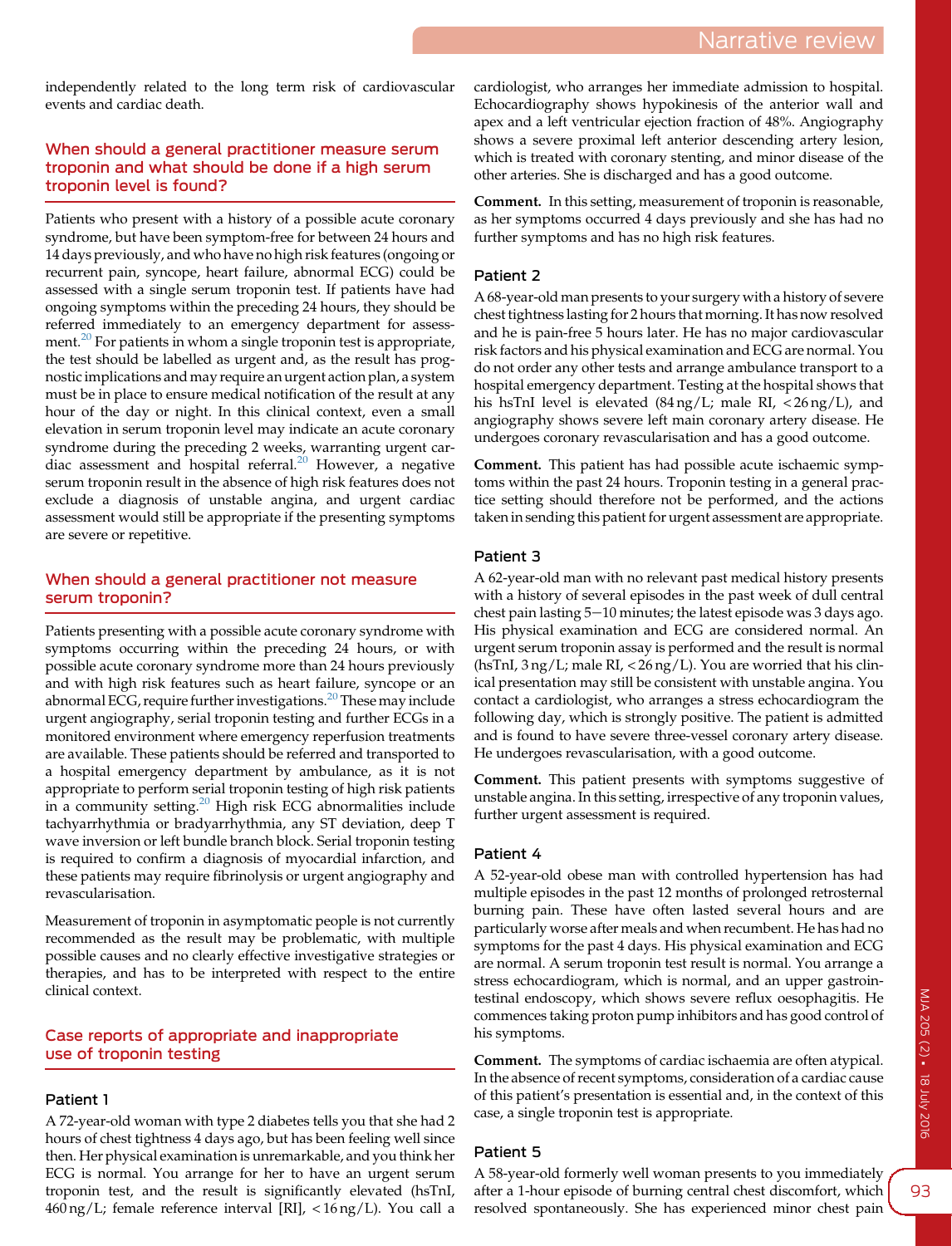independently related to the long term risk of cardiovascular events and cardiac death.

## When should a general practitioner measure serum troponin and what should be done if a high serum troponin level is found?

Patients who present with a history of a possible acute coronary syndrome, but have been symptom-free for between 24 hours and 14 days previously, and who have no high risk features (ongoing or recurrent pain, syncope, heart failure, abnormal ECG) could be assessed with a single serum troponin test. If patients have had ongoing symptoms within the preceding 24 hours, they should be referred immediately to an emergency department for assess-ment.<sup>[20](#page-3-0)</sup> For patients in whom a single troponin test is appropriate, the test should be labelled as urgent and, as the result has prognostic implications and may require an urgent action plan, a system must be in place to ensure medical notification of the result at any hour of the day or night. In this clinical context, even a small elevation in serum troponin level may indicate an acute coronary syndrome during the preceding 2 weeks, warranting urgent cardiac assessment and hospital referral.[20](#page-3-0) However, a negative serum troponin result in the absence of high risk features does not exclude a diagnosis of unstable angina, and urgent cardiac assessment would still be appropriate if the presenting symptoms are severe or repetitive.

## When should a general practitioner not measure serum troponin?

Patients presenting with a possible acute coronary syndrome with symptoms occurring within the preceding 24 hours, or with possible acute coronary syndrome more than 24 hours previously and with high risk features such as heart failure, syncope or an abnormal ECG, require further investigations.<sup>[20](#page-3-0)</sup> These may include urgent angiography, serial troponin testing and further ECGs in a monitored environment where emergency reperfusion treatments are available. These patients should be referred and transported to a hospital emergency department by ambulance, as it is not appropriate to perform serial troponin testing of high risk patients in a community setting.<sup>[20](#page-3-0)</sup> High risk ECG abnormalities include tachyarrhythmia or bradyarrhythmia, any ST deviation, deep T wave inversion or left bundle branch block. Serial troponin testing is required to confirm a diagnosis of myocardial infarction, and these patients may require fibrinolysis or urgent angiography and revascularisation.

Measurement of troponin in asymptomatic people is not currently recommended as the result may be problematic, with multiple possible causes and no clearly effective investigative strategies or therapies, and has to be interpreted with respect to the entire clinical context.

## Case reports of appropriate and inappropriate use of troponin testing

## Patient 1

A 72-year-old woman with type 2 diabetes tells you that she had 2 hours of chest tightness 4 days ago, but has been feeling well since then. Her physical examination is unremarkable, and you think her ECG is normal. You arrange for her to have an urgent serum troponin test, and the result is significantly elevated (hsTnI, 460 ng/L; female reference interval [RI], < 16 ng/L). You call a cardiologist, who arranges her immediate admission to hospital. Echocardiography shows hypokinesis of the anterior wall and apex and a left ventricular ejection fraction of 48%. Angiography shows a severe proximal left anterior descending artery lesion, which is treated with coronary stenting, and minor disease of the other arteries. She is discharged and has a good outcome.

Comment. In this setting, measurement of troponin is reasonable, as her symptoms occurred 4 days previously and she has had no further symptoms and has no high risk features.

#### Patient 2

A 68-year-old man presents to your surgery with a history of severe chest tightness lasting for 2 hours that morning. It has now resolved and he is pain-free 5 hours later. He has no major cardiovascular risk factors and his physical examination and ECG are normal. You do not order any other tests and arrange ambulance transport to a hospital emergency department. Testing at the hospital shows that his hsTnI level is elevated (84 ng/L; male RI, < 26 ng/L), and angiography shows severe left main coronary artery disease. He undergoes coronary revascularisation and has a good outcome.

Comment. This patient has had possible acute ischaemic symptoms within the past 24 hours. Troponin testing in a general practice setting should therefore not be performed, and the actions taken in sending this patient for urgent assessment are appropriate.

## Patient 3

A 62-year-old man with no relevant past medical history presents with a history of several episodes in the past week of dull central chest pain lasting  $5-10$  minutes; the latest episode was 3 days ago. His physical examination and ECG are considered normal. An urgent serum troponin assay is performed and the result is normal (hsTnI, 3 ng/L; male RI, < 26 ng/L). You are worried that his clinical presentation may still be consistent with unstable angina. You contact a cardiologist, who arranges a stress echocardiogram the following day, which is strongly positive. The patient is admitted and is found to have severe three-vessel coronary artery disease. He undergoes revascularisation, with a good outcome.

Comment. This patient presents with symptoms suggestive of unstable angina. In this setting, irrespective of any troponin values, further urgent assessment is required.

## Patient 4

A 52-year-old obese man with controlled hypertension has had multiple episodes in the past 12 months of prolonged retrosternal burning pain. These have often lasted several hours and are particularly worse after meals and when recumbent. He has had no symptoms for the past 4 days. His physical examination and ECG are normal. A serum troponin test result is normal. You arrange a stress echocardiogram, which is normal, and an upper gastrointestinal endoscopy, which shows severe reflux oesophagitis. He commences taking proton pump inhibitors and has good control of his symptoms.

Comment. The symptoms of cardiac ischaemia are often atypical. In the absence of recent symptoms, consideration of a cardiac cause of this patient's presentation is essential and, in the context of this case, a single troponin test is appropriate.

## Patient 5

A 58-year-old formerly well woman presents to you immediately after a 1-hour episode of burning central chest discomfort, which resolved spontaneously. She has experienced minor chest pain